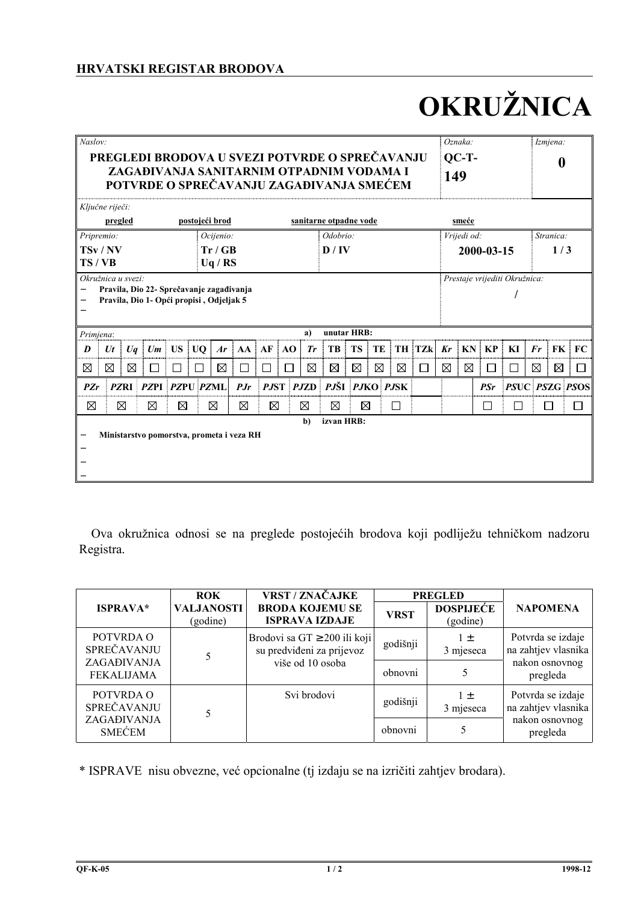# HRVATSKI REGISTAR BRODOVA

# OKRUŽNICA

| $\overline{Nas}$ lov: |                                                                                                                                             |             |                                           |             |                |                       |             |             |           |              |                        |           |    |             |               |            | Oznaka: |            |              |                | Izmjena:                    |                       |
|-----------------------|---------------------------------------------------------------------------------------------------------------------------------------------|-------------|-------------------------------------------|-------------|----------------|-----------------------|-------------|-------------|-----------|--------------|------------------------|-----------|----|-------------|---------------|------------|---------|------------|--------------|----------------|-----------------------------|-----------------------|
|                       | PREGLEDI BRODOVA U SVEZI POTVRDE O SPREČAVANJU                                                                                              |             |                                           |             |                |                       |             |             |           |              |                        |           |    | $QC-T$ -    |               |            |         | 0          |              |                |                             |                       |
|                       | ZAGAĐIVANJA SANITARNIM OTPADNIM VODAMA I<br>POTVRDE O SPREČAVANJU ZAGAĐIVANJA SMEĆEM                                                        |             |                                           |             |                |                       |             |             |           |              |                        |           |    |             | 149           |            |         |            |              |                |                             |                       |
|                       | Ključne riječi:                                                                                                                             |             |                                           |             |                |                       |             |             |           |              |                        |           |    |             |               |            |         |            |              |                |                             |                       |
|                       | pregled                                                                                                                                     |             |                                           |             | postojeći brod |                       |             |             |           |              | sanitarne otpadne vode |           |    |             |               |            | smeće   |            |              |                |                             |                       |
| Pripremio:            |                                                                                                                                             |             |                                           |             |                | Odobrio:<br>Ocijenio: |             |             |           |              |                        |           |    | Vrijedi od: |               |            |         |            | Stranica:    |                |                             |                       |
|                       | TSv/NV                                                                                                                                      |             |                                           |             |                | Tr / GB               |             |             |           |              | D/IV                   |           |    |             |               | 2000-03-15 |         |            |              | 1/3            |                             |                       |
| TS/VB                 |                                                                                                                                             |             |                                           |             |                | Uq/RS                 |             |             |           |              |                        |           |    |             |               |            |         |            |              |                |                             |                       |
|                       | Okružnica u svezi:<br>Prestaje vrijediti Okružnica:<br>Pravila, Dio 22- Sprečavanje zagađivanja<br>Pravila, Dio 1- Opći propisi, Odjeljak 5 |             |                                           |             |                |                       |             |             |           |              |                        |           |    |             |               |            |         |            |              |                |                             |                       |
| Primiena:             |                                                                                                                                             |             |                                           |             |                |                       |             |             |           | a)           | unutar HRB:            |           |    |             |               |            |         |            |              |                |                             |                       |
| D                     | $U_t$                                                                                                                                       | Uq          |                                           | $Um$ US UO  |                | Ar                    | AA          |             | $AF$ $AO$ | Tr           | TB                     | <b>TS</b> | TE |             | <b>TH TZk</b> | Kr         | KN      | KP         | KI           | $\mathbf{F}$ r | $\overline{\phantom{a}}$ FK | FC                    |
| ⊠                     | ⊠                                                                                                                                           | X           |                                           |             |                | ⊠                     | П           |             |           | $\boxtimes$  | ⊠                      | ⊠         | ⊠  | ⊠           | П             | ⊠          | ⊠       | ΙI         | $\mathsf{L}$ | ⊠              | ⊠                           |                       |
| PZr                   |                                                                                                                                             | <b>PZRI</b> | PZPI PZPU PZMI                            |             |                |                       | PJr         |             | PJST PJZD |              | PJŠI PJKO PJSK         |           |    |             |               |            |         | <b>PSr</b> |              |                |                             | <b>PSUC PSZG PSOS</b> |
| ⊠                     |                                                                                                                                             | ⊠           | ⊠                                         | $\boxtimes$ |                | ⊠                     | $\boxtimes$ | $\boxtimes$ |           | ⊠            | ⊠                      | ⊠         |    | $\Box$      |               |            |         | П          | □            |                | $\Box$                      |                       |
|                       |                                                                                                                                             |             |                                           |             |                |                       |             |             |           | $\mathbf{b}$ | izvan HRB:             |           |    |             |               |            |         |            |              |                |                             |                       |
|                       |                                                                                                                                             |             | Ministarstvo pomorstva, prometa i veza RH |             |                |                       |             |             |           |              |                        |           |    |             |               |            |         |            |              |                |                             |                       |
|                       |                                                                                                                                             |             |                                           |             |                |                       |             |             |           |              |                        |           |    |             |               |            |         |            |              |                |                             |                       |

Ova okružnica odnosi se na preglede postojećih brodova koji podliježu tehničkom nadzoru Registra.

|                                  | <b>ROK</b>                    | <b>VRST / ZNAČAJKE</b>                                         |             | <b>PREGLED</b>               |                                                                        |  |
|----------------------------------|-------------------------------|----------------------------------------------------------------|-------------|------------------------------|------------------------------------------------------------------------|--|
| <b>ISPRAVA*</b>                  | <b>VALJANOSTI</b><br>(godine) | <b>BRODA KOJEMU SE</b><br><b>ISPRAVA IZDAJE</b>                | <b>VRST</b> | <b>DOSPIJEĆE</b><br>(godine) | <b>NAPOMENA</b>                                                        |  |
| POTVRDA O<br>SPREČAVANJU         |                               | Brodovi sa GT $\geq$ 200 ili koji<br>su predviđeni za prijevoz | godišnji    | $1 \pm$<br>3 mjeseca         | Potvrda se izdaje<br>na zahtjev vlasnika<br>nakon osnovnog<br>pregleda |  |
| ZAGAĐIVANJA<br><b>FEKALIJAMA</b> |                               | više od 10 osoba                                               | obnovni     |                              |                                                                        |  |
| POTVRDA O<br>SPREČAVANJU         |                               | Svi brodovi                                                    | godišnji    | $1 +$<br>3 mjeseca           | Potvrda se izdaje<br>na zahtjev vlasnika                               |  |
| ZAGAĐIVANJA<br><b>SMECEM</b>     |                               |                                                                | obnovni     |                              | nakon osnovnog<br>pregleda                                             |  |

\* ISPRAVE nisu obvezne, već opcionalne (tj izdaju se na izričiti zahtjev brodara).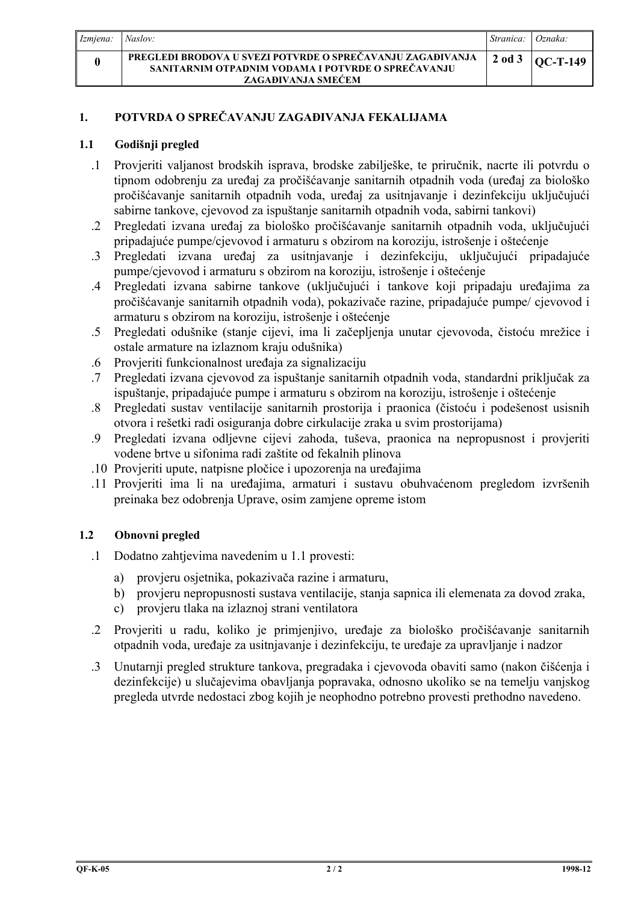| Izmiena: | Naslov:                                                                                                                                | Stranica: | Oznaka:         |
|----------|----------------------------------------------------------------------------------------------------------------------------------------|-----------|-----------------|
|          | PREGLEDI BRODOVA U SVEZI POTVRDE O SPREČAVANJU ZAGAĐIVANJA<br>SANITARNIM OTPADNIM VODAMA I POTVRDE O SPREČAVANJU<br>ZAGAĐIVANJA SMEĆEM | 2 od 3    | <b>OC-T-149</b> |

# POTVRDA O SPREČAVANJU ZAGAĐIVANJA FEKALIJAMA  $1.$

#### $1.1$ Godišnji pregled

- 1 Provieriti valianost brodskih isprava, brodske zabilješke, te priručnik, nacrte ili potvrdu o tipnom odobrenju za uređaj za pročišćavanje sanitarnih otpadnih voda (uređaj za biološko pročišćavanje sanitarnih otpadnih voda, uređaj za usitnjavanje i dezinfekciju uključujući sabirne tankove, cievovod za ispuštanje sanitarnih otpadnih voda, sabirni tankovi)
- .2 Pregledati izvana uređaj za biološko pročišćavanje sanitarnih otpadnih voda, uključujući pripadajuće pumpe/cjevovod i armaturu s obzirom na koroziju, istrošenje i oštećenje
- 3 Pregledati izvana uređaj za usitnjavanje i dezinfekciju, uključujući pripadajuće pumpe/cjevovod i armaturu s obzirom na koroziju, istrošenje i oštećenje
- .4 Pregledati izvana sabirne tankove (uključujući i tankove koji pripadaju uređajima za pročišćavanje sanitarnih otpadnih voda), pokazivače razine, pripadajuće pumpe/cjevovod i armaturu s obzirom na koroziju, istrošenje i oštećenje
- .5 Pregledati odušnike (stanje cijevi, ima li začepljenja unutar cjevovoda, čistoću mrežice i ostale armature na izlaznom kraju odušnika)
- Provieriti funkcionalnost uređaja za signalizaciju  $6<sup>1</sup>$
- .7 Pregledati izvana cievovod za ispuštanje sanitarnih otpadnih voda, standardni priključak za ispuštanje, pripadajuće pumpe i armaturu s obzirom na koroziju, istrošenje i oštećenje
- .8 Pregledati sustav ventilacije sanitarnih prostorija i praonica (čistoću i podešenost usisnih otvora i rešetki radi osiguranja dobre cirkulacije zraka u svim prostorijama)
- .9 Pregledati izvana odljevne cijevi zahoda, tuševa, praonica na nepropusnost i provjeriti vodene brtve u sifonima radi zaštite od fekalnih plinova
- .10 Provieriti upute, natpisne pločice i upozorenja na uređajima
- .11 Provieriti ima li na uređajima, armaturi i sustavu obuhvaćenom pregledom izvršenih preinaka bez odobrenja Uprave, osim zamiene opreme istom

### $1.2$ Obnovni pregled

- $\cdot$ 1 Dodatno zahtievima navedenim u 1.1 provesti:
	- provjeru osjetnika, pokazivača razine i armaturu, a)
	- b) provjeru nepropusnosti sustava ventilacije, stanja sapnica ili elemenata za dovod zraka,
	- provjeru tlaka na izlaznoj strani ventilatora  $\mathbf{c}$ )
- .2 Provjeriti u radu, koliko je primjenjivo, uređaje za biološko pročišćavanje sanitarnih otpadnih voda, uređaje za usitnjavanje i dezinfekciju, te uređaje za upravljanje i nadzor
- 3 Unutarnii pregled strukture tankova, pregradaka i cievovoda obaviti samo (nakon čišćenia i dezinfekcije) u slučajevima obavljanja popravaka, odnosno ukoliko se na temelju vanjskog pregleda utvrde nedostaci zbog kojih je neophodno potrebno provesti prethodno navedeno.